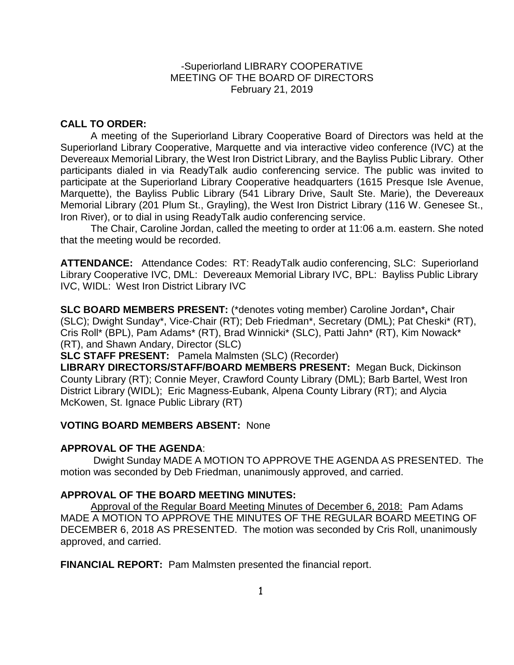### -Superiorland LIBRARY COOPERATIVE MEETING OF THE BOARD OF DIRECTORS February 21, 2019

# **CALL TO ORDER:**

A meeting of the Superiorland Library Cooperative Board of Directors was held at the Superiorland Library Cooperative, Marquette and via interactive video conference (IVC) at the Devereaux Memorial Library, the West Iron District Library, and the Bayliss Public Library. Other participants dialed in via ReadyTalk audio conferencing service. The public was invited to participate at the Superiorland Library Cooperative headquarters (1615 Presque Isle Avenue, Marquette), the Bayliss Public Library (541 Library Drive, Sault Ste. Marie), the Devereaux Memorial Library (201 Plum St., Grayling), the West Iron District Library (116 W. Genesee St., Iron River), or to dial in using ReadyTalk audio conferencing service.

The Chair, Caroline Jordan, called the meeting to order at 11:06 a.m. eastern. She noted that the meeting would be recorded.

**ATTENDANCE:** Attendance Codes: RT: ReadyTalk audio conferencing, SLC: Superiorland Library Cooperative IVC, DML: Devereaux Memorial Library IVC, BPL: Bayliss Public Library IVC, WIDL: West Iron District Library IVC

**SLC BOARD MEMBERS PRESENT:** (\*denotes voting member) Caroline Jordan\***,** Chair (SLC); Dwight Sunday\*, Vice-Chair (RT); Deb Friedman\*, Secretary (DML); Pat Cheski\* (RT), Cris Roll\* (BPL), Pam Adams\* (RT), Brad Winnicki\* (SLC), Patti Jahn\* (RT), Kim Nowack\* (RT), and Shawn Andary, Director (SLC)

**SLC STAFF PRESENT:** Pamela Malmsten (SLC) (Recorder)

**LIBRARY DIRECTORS/STAFF/BOARD MEMBERS PRESENT:** Megan Buck, Dickinson County Library (RT); Connie Meyer, Crawford County Library (DML); Barb Bartel, West Iron District Library (WIDL); Eric Magness-Eubank, Alpena County Library (RT); and Alycia McKowen, St. Ignace Public Library (RT)

# **VOTING BOARD MEMBERS ABSENT:** None

### **APPROVAL OF THE AGENDA**:

Dwight Sunday MADE A MOTION TO APPROVE THE AGENDA AS PRESENTED. The motion was seconded by Deb Friedman, unanimously approved, and carried.

# **APPROVAL OF THE BOARD MEETING MINUTES:**

Approval of the Regular Board Meeting Minutes of December 6, 2018: Pam Adams MADE A MOTION TO APPROVE THE MINUTES OF THE REGULAR BOARD MEETING OF DECEMBER 6, 2018 AS PRESENTED.The motion was seconded by Cris Roll, unanimously approved, and carried.

**FINANCIAL REPORT:** Pam Malmsten presented the financial report.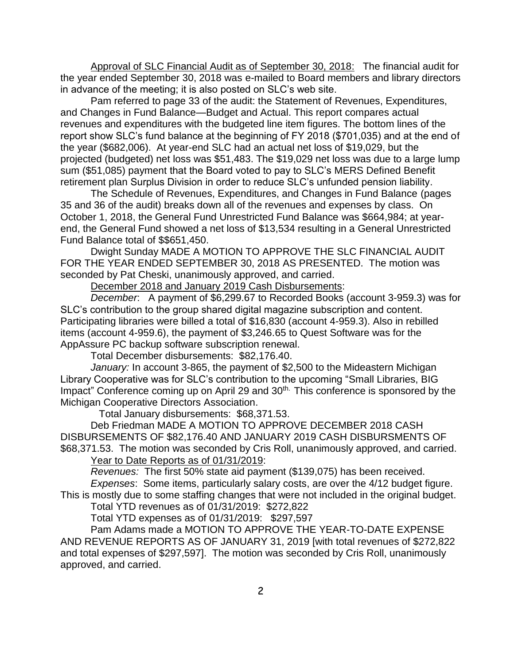Approval of SLC Financial Audit as of September 30, 2018: The financial audit for the year ended September 30, 2018 was e-mailed to Board members and library directors in advance of the meeting; it is also posted on SLC's web site.

Pam referred to page 33 of the audit: the Statement of Revenues, Expenditures, and Changes in Fund Balance—Budget and Actual. This report compares actual revenues and expenditures with the budgeted line item figures. The bottom lines of the report show SLC's fund balance at the beginning of FY 2018 (\$701,035) and at the end of the year (\$682,006). At year-end SLC had an actual net loss of \$19,029, but the projected (budgeted) net loss was \$51,483. The \$19,029 net loss was due to a large lump sum (\$51,085) payment that the Board voted to pay to SLC's MERS Defined Benefit retirement plan Surplus Division in order to reduce SLC's unfunded pension liability.

The Schedule of Revenues, Expenditures, and Changes in Fund Balance (pages 35 and 36 of the audit) breaks down all of the revenues and expenses by class. On October 1, 2018, the General Fund Unrestricted Fund Balance was \$664,984; at yearend, the General Fund showed a net loss of \$13,534 resulting in a General Unrestricted Fund Balance total of \$\$651,450.

Dwight Sunday MADE A MOTION TO APPROVE THE SLC FINANCIAL AUDIT FOR THE YEAR ENDED SEPTEMBER 30, 2018 AS PRESENTED. The motion was seconded by Pat Cheski, unanimously approved, and carried.

December 2018 and January 2019 Cash Disbursements:

*December*: A payment of \$6,299.67 to Recorded Books (account 3-959.3) was for SLC's contribution to the group shared digital magazine subscription and content. Participating libraries were billed a total of \$16,830 (account 4-959.3). Also in rebilled items (account 4-959.6), the payment of \$3,246.65 to Quest Software was for the AppAssure PC backup software subscription renewal.

Total December disbursements: \$82,176.40.

*January:* In account 3-865, the payment of \$2,500 to the Mideastern Michigan Library Cooperative was for SLC's contribution to the upcoming "Small Libraries, BIG Impact" Conference coming up on April 29 and 30<sup>th.</sup> This conference is sponsored by the Michigan Cooperative Directors Association.

Total January disbursements: \$68,371.53.

Deb Friedman MADE A MOTION TO APPROVE DECEMBER 2018 CASH DISBURSEMENTS OF \$82,176.40 AND JANUARY 2019 CASH DISBURSMENTS OF \$68,371.53. The motion was seconded by Cris Roll, unanimously approved, and carried.

Year to Date Reports as of 01/31/2019:

*Revenues:* The first 50% state aid payment (\$139,075) has been received.

*Expenses*: Some items, particularly salary costs, are over the 4/12 budget figure. This is mostly due to some staffing changes that were not included in the original budget.

Total YTD revenues as of 01/31/2019: \$272,822

Total YTD expenses as of 01/31/2019: \$297,597

Pam Adams made a MOTION TO APPROVE THE YEAR-TO-DATE EXPENSE AND REVENUE REPORTS AS OF JANUARY 31, 2019 [with total revenues of \$272,822 and total expenses of \$297,597]. The motion was seconded by Cris Roll, unanimously approved, and carried.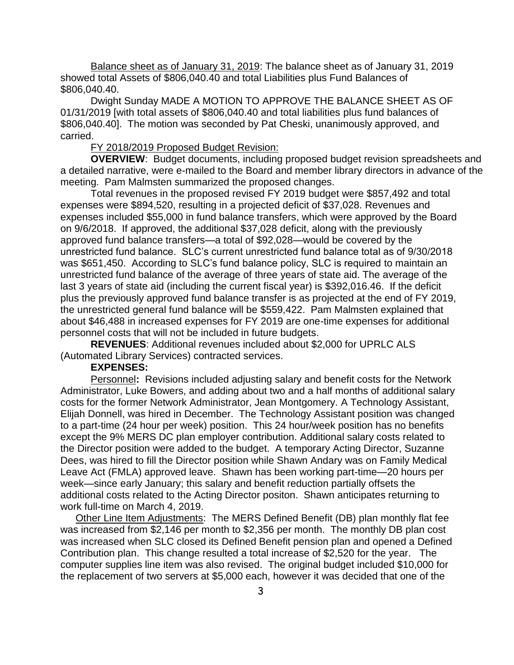Balance sheet as of January 31, 2019: The balance sheet as of January 31, 2019 showed total Assets of \$806,040.40 and total Liabilities plus Fund Balances of \$806,040.40.

Dwight Sunday MADE A MOTION TO APPROVE THE BALANCE SHEET AS OF 01/31/2019 [with total assets of \$806,040.40 and total liabilities plus fund balances of \$806,040.40]. The motion was seconded by Pat Cheski, unanimously approved, and carried.

### FY 2018/2019 Proposed Budget Revision:

**OVERVIEW**: Budget documents, including proposed budget revision spreadsheets and a detailed narrative, were e-mailed to the Board and member library directors in advance of the meeting. Pam Malmsten summarized the proposed changes.

Total revenues in the proposed revised FY 2019 budget were \$857,492 and total expenses were \$894,520, resulting in a projected deficit of \$37,028. Revenues and expenses included \$55,000 in fund balance transfers, which were approved by the Board on 9/6/2018. If approved, the additional \$37,028 deficit, along with the previously approved fund balance transfers—a total of \$92,028—would be covered by the unrestricted fund balance. SLC's current unrestricted fund balance total as of 9/30/2018 was \$651,450. According to SLC's fund balance policy, SLC is required to maintain an unrestricted fund balance of the average of three years of state aid. The average of the last 3 years of state aid (including the current fiscal year) is \$392,016.46. If the deficit plus the previously approved fund balance transfer is as projected at the end of FY 2019, the unrestricted general fund balance will be \$559,422. Pam Malmsten explained that about \$46,488 in increased expenses for FY 2019 are one-time expenses for additional personnel costs that will not be included in future budgets.

**REVENUES**: Additional revenues included about \$2,000 for UPRLC ALS (Automated Library Services) contracted services.

# **EXPENSES:**

Personnel**:** Revisions included adjusting salary and benefit costs for the Network Administrator, Luke Bowers, and adding about two and a half months of additional salary costs for the former Network Administrator, Jean Montgomery. A Technology Assistant, Elijah Donnell, was hired in December. The Technology Assistant position was changed to a part-time (24 hour per week) position. This 24 hour/week position has no benefits except the 9% MERS DC plan employer contribution. Additional salary costs related to the Director position were added to the budget. A temporary Acting Director, Suzanne Dees, was hired to fill the Director position while Shawn Andary was on Family Medical Leave Act (FMLA) approved leave. Shawn has been working part-time—20 hours per week—since early January; this salary and benefit reduction partially offsets the additional costs related to the Acting Director positon. Shawn anticipates returning to work full-time on March 4, 2019.

Other Line Item Adjustments: The MERS Defined Benefit (DB) plan monthly flat fee was increased from \$2,146 per month to \$2,356 per month. The monthly DB plan cost was increased when SLC closed its Defined Benefit pension plan and opened a Defined Contribution plan. This change resulted a total increase of \$2,520 for the year. The computer supplies line item was also revised. The original budget included \$10,000 for the replacement of two servers at \$5,000 each, however it was decided that one of the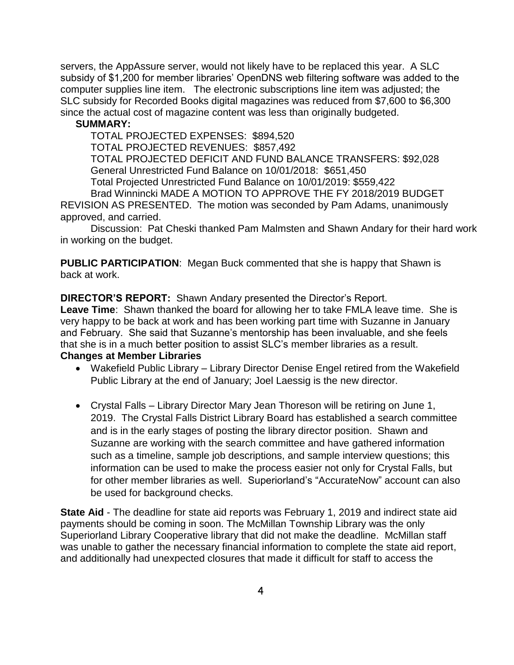servers, the AppAssure server, would not likely have to be replaced this year. A SLC subsidy of \$1,200 for member libraries' OpenDNS web filtering software was added to the computer supplies line item. The electronic subscriptions line item was adjusted; the SLC subsidy for Recorded Books digital magazines was reduced from \$7,600 to \$6,300 since the actual cost of magazine content was less than originally budgeted.

### **SUMMARY:**

TOTAL PROJECTED EXPENSES: \$894,520 TOTAL PROJECTED REVENUES: \$857,492 TOTAL PROJECTED DEFICIT AND FUND BALANCE TRANSFERS: \$92,028 General Unrestricted Fund Balance on 10/01/2018: \$651,450 Total Projected Unrestricted Fund Balance on 10/01/2019: \$559,422 Brad Winnincki MADE A MOTION TO APPROVE THE FY 2018/2019 BUDGET

REVISION AS PRESENTED. The motion was seconded by Pam Adams, unanimously approved, and carried.

Discussion: Pat Cheski thanked Pam Malmsten and Shawn Andary for their hard work in working on the budget.

**PUBLIC PARTICIPATION**: Megan Buck commented that she is happy that Shawn is back at work.

**DIRECTOR'S REPORT:** Shawn Andary presented the Director's Report.

**Leave Time**: Shawn thanked the board for allowing her to take FMLA leave time. She is very happy to be back at work and has been working part time with Suzanne in January and February. She said that Suzanne's mentorship has been invaluable, and she feels that she is in a much better position to assist SLC's member libraries as a result. **Changes at Member Libraries** 

- Wakefield Public Library Library Director Denise Engel retired from the Wakefield Public Library at the end of January; Joel Laessig is the new director.
- Crystal Falls Library Director Mary Jean Thoreson will be retiring on June 1, 2019. The Crystal Falls District Library Board has established a search committee and is in the early stages of posting the library director position. Shawn and Suzanne are working with the search committee and have gathered information such as a timeline, sample job descriptions, and sample interview questions; this information can be used to make the process easier not only for Crystal Falls, but for other member libraries as well. Superiorland's "AccurateNow" account can also be used for background checks.

**State Aid** - The deadline for state aid reports was February 1, 2019 and indirect state aid payments should be coming in soon. The McMillan Township Library was the only Superiorland Library Cooperative library that did not make the deadline. McMillan staff was unable to gather the necessary financial information to complete the state aid report, and additionally had unexpected closures that made it difficult for staff to access the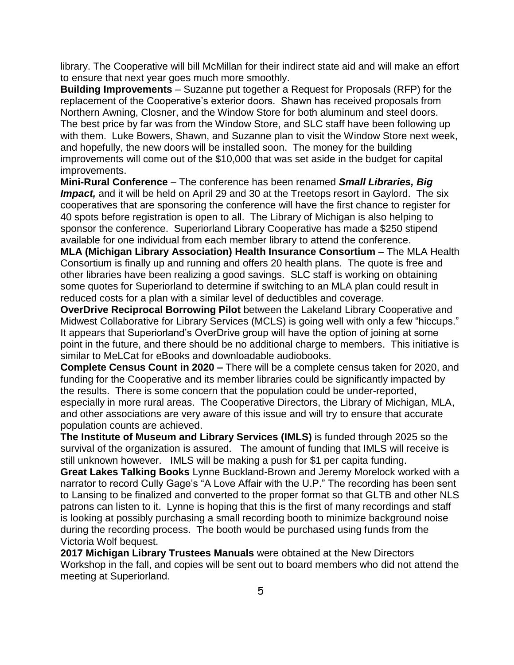library. The Cooperative will bill McMillan for their indirect state aid and will make an effort to ensure that next year goes much more smoothly.

**Building Improvements** – Suzanne put together a Request for Proposals (RFP) for the replacement of the Cooperative's exterior doors. Shawn has received proposals from Northern Awning, Closner, and the Window Store for both aluminum and steel doors. The best price by far was from the Window Store, and SLC staff have been following up with them. Luke Bowers, Shawn, and Suzanne plan to visit the Window Store next week, and hopefully, the new doors will be installed soon. The money for the building improvements will come out of the \$10,000 that was set aside in the budget for capital improvements.

**Mini-Rural Conference** – The conference has been renamed *Small Libraries, Big*  **Impact,** and it will be held on April 29 and 30 at the Treetops resort in Gaylord. The six cooperatives that are sponsoring the conference will have the first chance to register for 40 spots before registration is open to all. The Library of Michigan is also helping to sponsor the conference. Superiorland Library Cooperative has made a \$250 stipend available for one individual from each member library to attend the conference.

**MLA (Michigan Library Association) Health Insurance Consortium** – The MLA Health Consortium is finally up and running and offers 20 health plans. The quote is free and other libraries have been realizing a good savings. SLC staff is working on obtaining some quotes for Superiorland to determine if switching to an MLA plan could result in reduced costs for a plan with a similar level of deductibles and coverage.

**OverDrive Reciprocal Borrowing Pilot** between the Lakeland Library Cooperative and Midwest Collaborative for Library Services (MCLS) is going well with only a few "hiccups." It appears that Superiorland's OverDrive group will have the option of joining at some point in the future, and there should be no additional charge to members. This initiative is similar to MeLCat for eBooks and downloadable audiobooks.

**Complete Census Count in 2020 –** There will be a complete census taken for 2020, and funding for the Cooperative and its member libraries could be significantly impacted by the results. There is some concern that the population could be under-reported, especially in more rural areas. The Cooperative Directors, the Library of Michigan, MLA, and other associations are very aware of this issue and will try to ensure that accurate population counts are achieved.

**The Institute of Museum and Library Services (IMLS)** is funded through 2025 so the survival of the organization is assured. The amount of funding that IMLS will receive is still unknown however. IMLS will be making a push for \$1 per capita funding.

**Great Lakes Talking Books** Lynne Buckland-Brown and Jeremy Morelock worked with a narrator to record Cully Gage's "A Love Affair with the U.P." The recording has been sent to Lansing to be finalized and converted to the proper format so that GLTB and other NLS patrons can listen to it. Lynne is hoping that this is the first of many recordings and staff is looking at possibly purchasing a small recording booth to minimize background noise during the recording process. The booth would be purchased using funds from the Victoria Wolf bequest.

**2017 Michigan Library Trustees Manuals** were obtained at the New Directors Workshop in the fall, and copies will be sent out to board members who did not attend the meeting at Superiorland.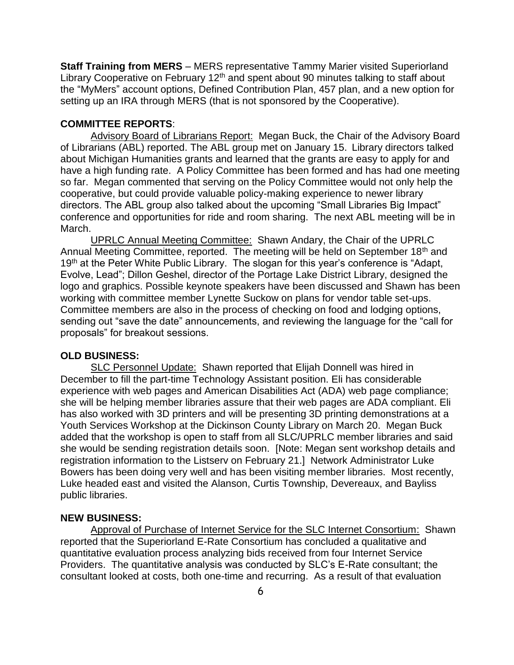**Staff Training from MERS** – MERS representative Tammy Marier visited Superiorland Library Cooperative on February 12<sup>th</sup> and spent about 90 minutes talking to staff about the "MyMers" account options, Defined Contribution Plan, 457 plan, and a new option for setting up an IRA through MERS (that is not sponsored by the Cooperative).

### **COMMITTEE REPORTS**:

Advisory Board of Librarians Report: Megan Buck, the Chair of the Advisory Board of Librarians (ABL) reported. The ABL group met on January 15. Library directors talked about Michigan Humanities grants and learned that the grants are easy to apply for and have a high funding rate. A Policy Committee has been formed and has had one meeting so far. Megan commented that serving on the Policy Committee would not only help the cooperative, but could provide valuable policy-making experience to newer library directors. The ABL group also talked about the upcoming "Small Libraries Big Impact" conference and opportunities for ride and room sharing. The next ABL meeting will be in March.

UPRLC Annual Meeting Committee: Shawn Andary, the Chair of the UPRLC Annual Meeting Committee, reported. The meeting will be held on September 18<sup>th</sup> and 19<sup>th</sup> at the Peter White Public Library. The slogan for this year's conference is "Adapt, Evolve, Lead"; Dillon Geshel, director of the Portage Lake District Library, designed the logo and graphics. Possible keynote speakers have been discussed and Shawn has been working with committee member Lynette Suckow on plans for vendor table set-ups. Committee members are also in the process of checking on food and lodging options, sending out "save the date" announcements, and reviewing the language for the "call for proposals" for breakout sessions.

#### **OLD BUSINESS:**

SLC Personnel Update: Shawn reported that Elijah Donnell was hired in December to fill the part-time Technology Assistant position. Eli has considerable experience with web pages and American Disabilities Act (ADA) web page compliance; she will be helping member libraries assure that their web pages are ADA compliant. Eli has also worked with 3D printers and will be presenting 3D printing demonstrations at a Youth Services Workshop at the Dickinson County Library on March 20. Megan Buck added that the workshop is open to staff from all SLC/UPRLC member libraries and said she would be sending registration details soon. [Note: Megan sent workshop details and registration information to the Listserv on February 21.] Network Administrator Luke Bowers has been doing very well and has been visiting member libraries. Most recently, Luke headed east and visited the Alanson, Curtis Township, Devereaux, and Bayliss public libraries.

#### **NEW BUSINESS:**

Approval of Purchase of Internet Service for the SLC Internet Consortium: Shawn reported that the Superiorland E-Rate Consortium has concluded a qualitative and quantitative evaluation process analyzing bids received from four Internet Service Providers. The quantitative analysis was conducted by SLC's E-Rate consultant; the consultant looked at costs, both one-time and recurring. As a result of that evaluation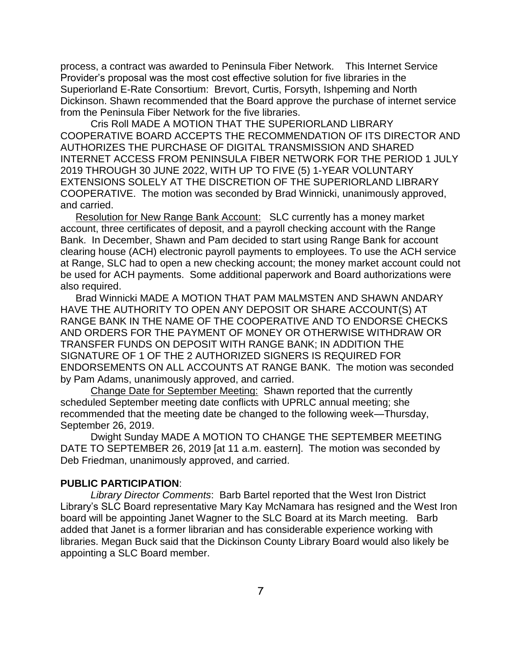process, a contract was awarded to Peninsula Fiber Network. This Internet Service Provider's proposal was the most cost effective solution for five libraries in the Superiorland E-Rate Consortium: Brevort, Curtis, Forsyth, Ishpeming and North Dickinson. Shawn recommended that the Board approve the purchase of internet service from the Peninsula Fiber Network for the five libraries.

Cris Roll MADE A MOTION THAT THE SUPERIORLAND LIBRARY COOPERATIVE BOARD ACCEPTS THE RECOMMENDATION OF ITS DIRECTOR AND AUTHORIZES THE PURCHASE OF DIGITAL TRANSMISSION AND SHARED INTERNET ACCESS FROM PENINSULA FIBER NETWORK FOR THE PERIOD 1 JULY 2019 THROUGH 30 JUNE 2022, WITH UP TO FIVE (5) 1-YEAR VOLUNTARY EXTENSIONS SOLELY AT THE DISCRETION OF THE SUPERIORLAND LIBRARY COOPERATIVE. The motion was seconded by Brad Winnicki, unanimously approved, and carried.

Resolution for New Range Bank Account: SLC currently has a money market account, three certificates of deposit, and a payroll checking account with the Range Bank. In December, Shawn and Pam decided to start using Range Bank for account clearing house (ACH) electronic payroll payments to employees. To use the ACH service at Range, SLC had to open a new checking account; the money market account could not be used for ACH payments. Some additional paperwork and Board authorizations were also required.

Brad Winnicki MADE A MOTION THAT PAM MALMSTEN AND SHAWN ANDARY HAVE THE AUTHORITY TO OPEN ANY DEPOSIT OR SHARE ACCOUNT(S) AT RANGE BANK IN THE NAME OF THE COOPERATIVE AND TO ENDORSE CHECKS AND ORDERS FOR THE PAYMENT OF MONEY OR OTHERWISE WITHDRAW OR TRANSFER FUNDS ON DEPOSIT WITH RANGE BANK; IN ADDITION THE SIGNATURE OF 1 OF THE 2 AUTHORIZED SIGNERS IS REQUIRED FOR ENDORSEMENTS ON ALL ACCOUNTS AT RANGE BANK. The motion was seconded by Pam Adams, unanimously approved, and carried.

Change Date for September Meeting: Shawn reported that the currently scheduled September meeting date conflicts with UPRLC annual meeting; she recommended that the meeting date be changed to the following week—Thursday, September 26, 2019.

Dwight Sunday MADE A MOTION TO CHANGE THE SEPTEMBER MEETING DATE TO SEPTEMBER 26, 2019 [at 11 a.m. eastern]. The motion was seconded by Deb Friedman, unanimously approved, and carried.

### **PUBLIC PARTICIPATION**:

*Library Director Comments*: Barb Bartel reported that the West Iron District Library's SLC Board representative Mary Kay McNamara has resigned and the West Iron board will be appointing Janet Wagner to the SLC Board at its March meeting. Barb added that Janet is a former librarian and has considerable experience working with libraries. Megan Buck said that the Dickinson County Library Board would also likely be appointing a SLC Board member.